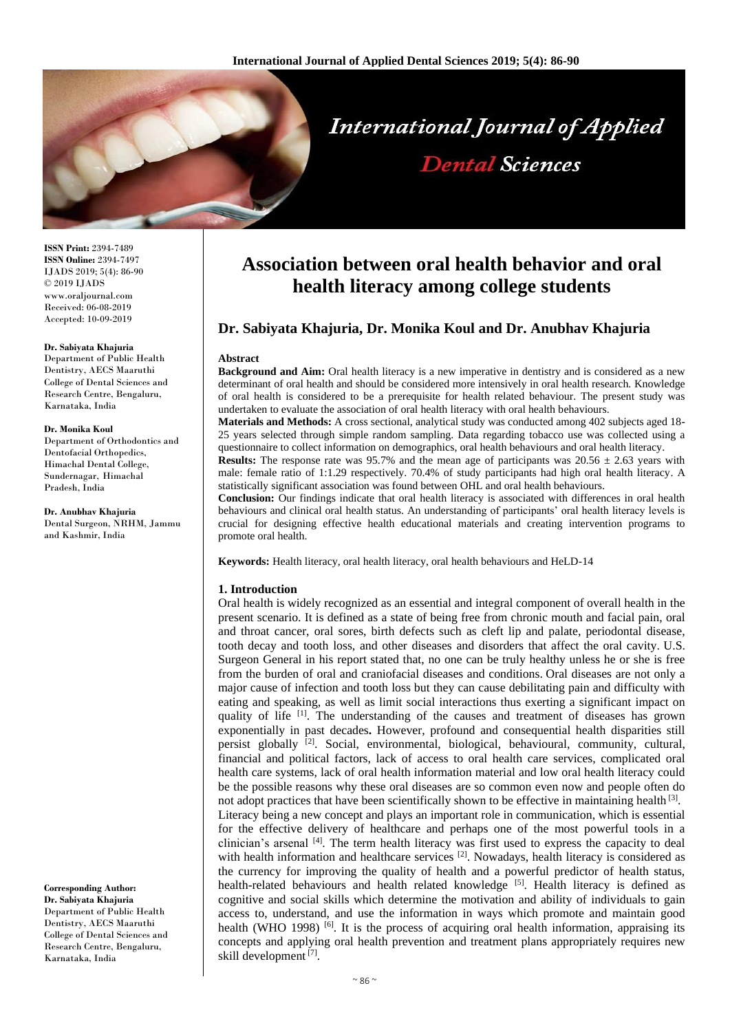

**ISSN Print:** 2394-7489 **ISSN Online:** 2394-7497 IJADS 2019; 5(4): 86-90 © 2019 IJADS www.oraljournal.com Received: 06-08-2019 Accepted: 10-09-2019

#### **Dr. Sabiyata Khajuria**

Department of Public Health Dentistry, AECS Maaruthi College of Dental Sciences and Research Centre, Bengaluru, Karnataka, India

#### **Dr. Monika Koul**

Department of Orthodontics and Dentofacial Orthopedics, Himachal Dental College, Sundernagar, Himachal Pradesh, India

**Dr. Anubhav Khajuria** Dental Surgeon, NRHM, Jammu and Kashmir, India

**Corresponding Author: Dr. Sabiyata Khajuria** Department of Public Health Dentistry, AECS Maaruthi College of Dental Sciences and Research Centre, Bengaluru, Karnataka, India

# **Association between oral health behavior and oral health literacy among college students**

## **Dr. Sabiyata Khajuria, Dr. Monika Koul and Dr. Anubhav Khajuria**

#### **Abstract**

**Background and Aim:** Oral health literacy is a new imperative in dentistry and is considered as a new determinant of oral health and should be considered more intensively in oral health research. Knowledge of oral health is considered to be a prerequisite for health related behaviour. The present study was undertaken to evaluate the association of oral health literacy with oral health behaviours.

**Materials and Methods:** A cross sectional, analytical study was conducted among 402 subjects aged 18- 25 years selected through simple random sampling. Data regarding tobacco use was collected using a questionnaire to collect information on demographics, oral health behaviours and oral health literacy.

**Results:** The response rate was 95.7% and the mean age of participants was  $20.56 \pm 2.63$  years with male: female ratio of 1:1.29 respectively. 70.4% of study participants had high oral health literacy. A statistically significant association was found between OHL and oral health behaviours.

**Conclusion:** Our findings indicate that oral health literacy is associated with differences in oral health behaviours and clinical oral health status. An understanding of participants' oral health literacy levels is crucial for designing effective health educational materials and creating intervention programs to promote oral health.

**Keywords:** Health literacy, oral health literacy, oral health behaviours and HeLD-14

### **1. Introduction**

Oral health is widely recognized as an essential and integral component of overall health in the present scenario. It is defined as a state of being free from chronic mouth and facial pain, oral and throat cancer, oral sores, birth defects such as cleft lip and palate, periodontal disease, tooth decay and tooth loss, and other diseases and disorders that affect the oral cavity. U.S. Surgeon General in his report stated that, no one can be truly healthy unless he or she is free from the burden of oral and craniofacial diseases and conditions. Oral diseases are not only a major cause of infection and tooth loss but they can cause debilitating pain and difficulty with eating and speaking, as well as limit social interactions thus exerting a significant impact on quality of life [1]. The understanding of the causes and treatment of diseases has grown exponentially in past decades**.** However, profound and consequential health disparities still persist globally  $^{[2]}$ . Social, environmental, biological, behavioural, community, cultural, financial and political factors, lack of access to oral health care services, complicated oral health care systems, lack of oral health information material and low oral health literacy could be the possible reasons why these oral diseases are so common even now and people often do not adopt practices that have been scientifically shown to be effective in maintaining health<sup>[3]</sup>. Literacy being a new concept and plays an important role in communication, which is essential for the effective delivery of healthcare and perhaps one of the most powerful tools in a clinician's arsenal [4]. The term health literacy was first used to express the capacity to deal with health information and healthcare services  $[2]$ . Nowadays, health literacy is considered as the currency for improving the quality of health and a powerful predictor of health status, health-related behaviours and health related knowledge [5]. Health literacy is defined as cognitive and social skills which determine the motivation and ability of individuals to gain access to, understand, and use the information in ways which promote and maintain good health (WHO 1998) <sup>[6]</sup>. It is the process of acquiring oral health information, appraising its concepts and applying oral health prevention and treatment plans appropriately requires new skill development<sup>[7]</sup>.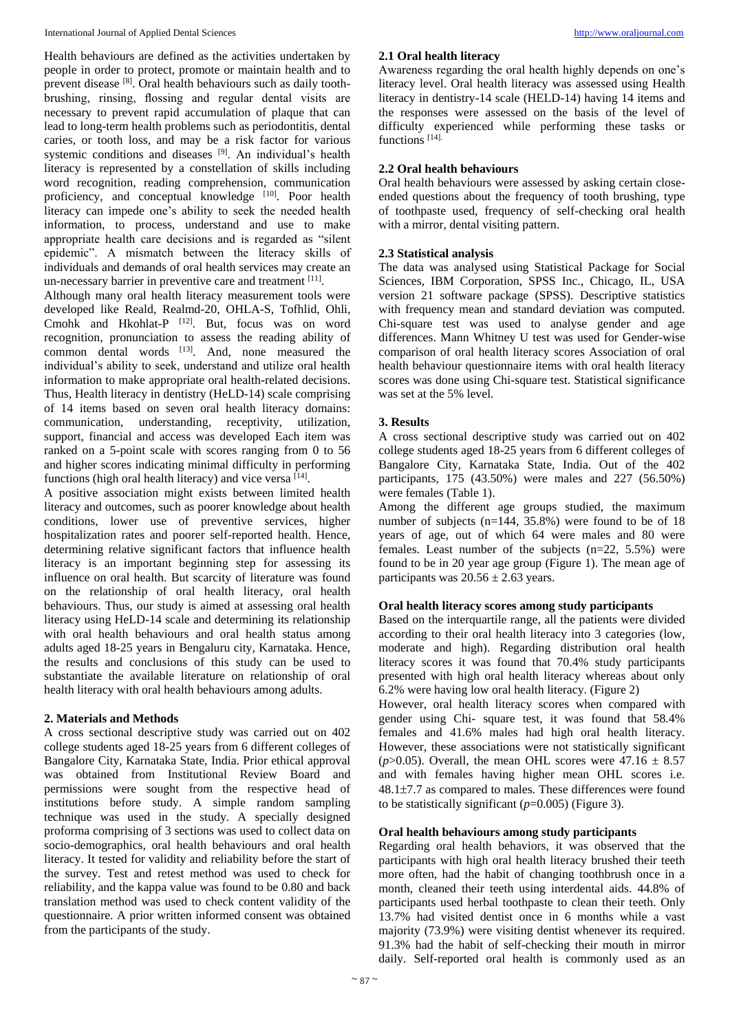Health behaviours are defined as the activities undertaken by people in order to protect, promote or maintain health and to prevent disease [8]. Oral health behaviours such as daily toothbrushing, rinsing, flossing and regular dental visits are necessary to prevent rapid accumulation of plaque that can lead to long-term health problems such as periodontitis, dental caries, or tooth loss, and may be a risk factor for various systemic conditions and diseases [9]. An individual's health literacy is represented by a constellation of skills including word recognition, reading comprehension, communication proficiency, and conceptual knowledge [10]. Poor health literacy can impede one's ability to seek the needed health information, to process, understand and use to make appropriate health care decisions and is regarded as "silent epidemic". A mismatch between the literacy skills of individuals and demands of oral health services may create an un-necessary barrier in preventive care and treatment [11].

Although many oral health literacy measurement tools were developed like Reald, Realmd-20, OHLA-S, Tofhlid, Ohli, Cmohk and Hkohlat-P<sup>[12]</sup>. But, focus was on word recognition, pronunciation to assess the reading ability of common dental words  $[13]$ . And, none measured the individual's ability to seek, understand and utilize oral health information to make appropriate oral health-related decisions. Thus, Health literacy in dentistry (HeLD-14) scale comprising of 14 items based on seven oral health literacy domains: communication, understanding, receptivity, utilization, support, financial and access was developed Each item was ranked on a 5-point scale with scores ranging from 0 to 56 and higher scores indicating minimal difficulty in performing functions (high oral health literacy) and vice versa [14].

A positive association might exists between limited health literacy and outcomes, such as poorer knowledge about health conditions, lower use of preventive services, higher hospitalization rates and poorer self-reported health. Hence, determining relative significant factors that influence health literacy is an important beginning step for assessing its influence on oral health. But scarcity of literature was found on the relationship of oral health literacy, oral health behaviours. Thus, our study is aimed at assessing oral health literacy using HeLD-14 scale and determining its relationship with oral health behaviours and oral health status among adults aged 18-25 years in Bengaluru city, Karnataka. Hence, the results and conclusions of this study can be used to substantiate the available literature on relationship of oral health literacy with oral health behaviours among adults.

#### **2. Materials and Methods**

A cross sectional descriptive study was carried out on 402 college students aged 18-25 years from 6 different colleges of Bangalore City, Karnataka State, India. Prior ethical approval was obtained from Institutional Review Board and permissions were sought from the respective head of institutions before study. A simple random sampling technique was used in the study. A specially designed proforma comprising of 3 sections was used to collect data on socio-demographics, oral health behaviours and oral health literacy. It tested for validity and reliability before the start of the survey. Test and retest method was used to check for reliability, and the kappa value was found to be 0.80 and back translation method was used to check content validity of the questionnaire. A prior written informed consent was obtained from the participants of the study.

#### **2.1 Oral health literacy**

Awareness regarding the oral health highly depends on one's literacy level. Oral health literacy was assessed using Health literacy in dentistry-14 scale (HELD-14) having 14 items and the responses were assessed on the basis of the level of difficulty experienced while performing these tasks or functions [14].

## **2.2 Oral health behaviours**

Oral health behaviours were assessed by asking certain closeended questions about the frequency of tooth brushing, type of toothpaste used, frequency of self-checking oral health with a mirror, dental visiting pattern.

### **2.3 Statistical analysis**

The data was analysed using Statistical Package for Social Sciences, IBM Corporation, SPSS Inc., Chicago, IL, USA version 21 software package (SPSS). Descriptive statistics with frequency mean and standard deviation was computed. Chi-square test was used to analyse gender and age differences. Mann Whitney U test was used for Gender-wise comparison of oral health literacy scores Association of oral health behaviour questionnaire items with oral health literacy scores was done using Chi-square test. Statistical significance was set at the 5% level.

### **3. Results**

A cross sectional descriptive study was carried out on 402 college students aged 18-25 years from 6 different colleges of Bangalore City, Karnataka State, India. Out of the 402 participants, 175 (43.50%) were males and 227 (56.50%) were females (Table 1).

Among the different age groups studied, the maximum number of subjects  $(n=144, 35.8\%)$  were found to be of 18 years of age, out of which 64 were males and 80 were females. Least number of the subjects  $(n=22, 5.5%)$  were found to be in 20 year age group (Figure 1). The mean age of participants was  $20.56 \pm 2.63$  years.

## **Oral health literacy scores among study participants**

Based on the interquartile range, all the patients were divided according to their oral health literacy into 3 categories (low, moderate and high). Regarding distribution oral health literacy scores it was found that 70.4% study participants presented with high oral health literacy whereas about only 6.2% were having low oral health literacy. (Figure 2)

However, oral health literacy scores when compared with gender using Chi- square test, it was found that 58.4% females and 41.6% males had high oral health literacy. However, these associations were not statistically significant ( $p > 0.05$ ). Overall, the mean OHL scores were  $47.16 \pm 8.57$ and with females having higher mean OHL scores i.e.  $48.1\pm7.7$  as compared to males. These differences were found to be statistically significant  $(p=0.005)$  (Figure 3).

#### **Oral health behaviours among study participants**

Regarding oral health behaviors, it was observed that the participants with high oral health literacy brushed their teeth more often, had the habit of changing toothbrush once in a month, cleaned their teeth using interdental aids. 44.8% of participants used herbal toothpaste to clean their teeth. Only 13.7% had visited dentist once in 6 months while a vast majority (73.9%) were visiting dentist whenever its required. 91.3% had the habit of self-checking their mouth in mirror daily. Self-reported oral health is commonly used as an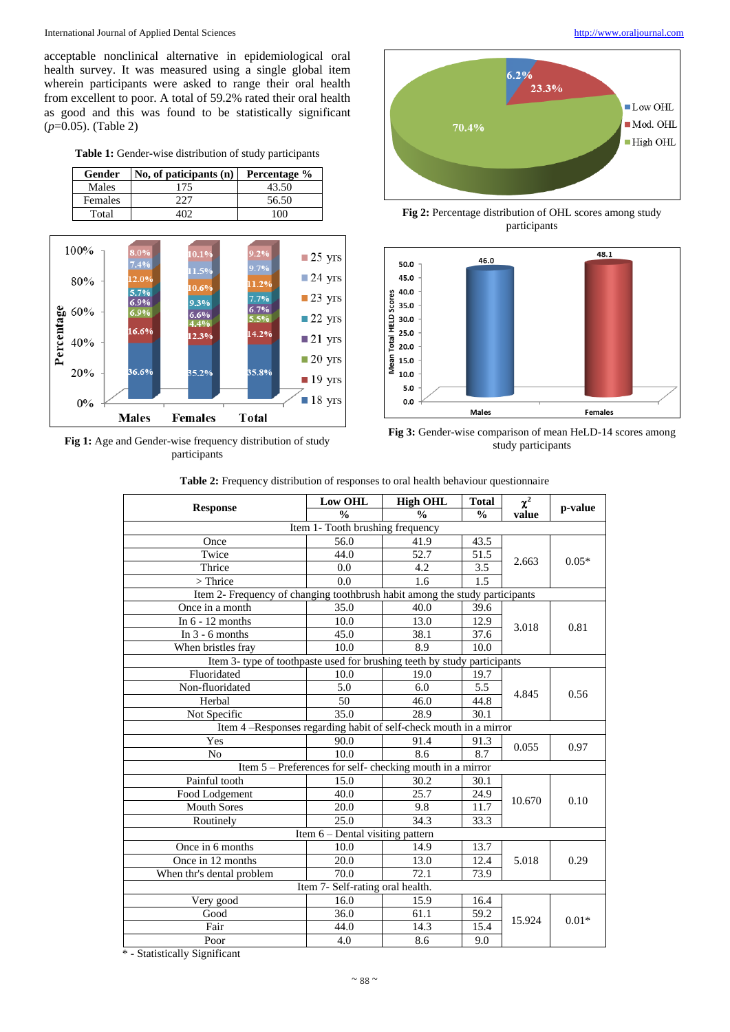#### International Journal of Applied Dental Sciences [http://www.oraljournal.com](http://www.oraljournal.com/)

acceptable nonclinical alternative in epidemiological oral health survey. It was measured using a single global item wherein participants were asked to range their oral health from excellent to poor. A total of 59.2% rated their oral health as good and this was found to be statistically significant (*p*=0.05). (Table 2)

**Table 1:** Gender-wise distribution of study participants

| Gender  | $\vert$ No, of paticipants (n) $\vert$ | Percentage % |
|---------|----------------------------------------|--------------|
| Males   | 175                                    | 43.50        |
| Females | 227                                    | 56.50        |
| Total   |                                        | 100          |



Fig 1: Age and Gender-wise frequency distribution of study participants





**Fig 2:** Percentage distribution of OHL scores among study participants



**Fig 3:** Gender-wise comparison of mean HeLD-14 scores among study participants

|  | <b>Table 2:</b> Frequency distribution of responses to oral health behaviour questionnaire |  |  |  |  |  |
|--|--------------------------------------------------------------------------------------------|--|--|--|--|--|
|--|--------------------------------------------------------------------------------------------|--|--|--|--|--|

|                                                                             | <b>Low OHL</b><br><b>High OHL</b> |                                                           | <b>Total</b>  | $\chi^2$ |         |  |  |  |  |
|-----------------------------------------------------------------------------|-----------------------------------|-----------------------------------------------------------|---------------|----------|---------|--|--|--|--|
| <b>Response</b>                                                             | $\frac{0}{0}$                     | $\frac{0}{0}$                                             | $\frac{0}{0}$ | value    | p-value |  |  |  |  |
| Item 1- Tooth brushing frequency                                            |                                   |                                                           |               |          |         |  |  |  |  |
| Once                                                                        | 56.0                              | 41.9                                                      | 43.5          |          |         |  |  |  |  |
| Twice                                                                       | 44.0                              | $\overline{52.7}$                                         | 51.5          | 2.663    | $0.05*$ |  |  |  |  |
| Thrice                                                                      | 0.0                               | 4.2                                                       | 3.5           |          |         |  |  |  |  |
| $>$ Thrice                                                                  | 0.0                               | 1.6                                                       | 1.5           |          |         |  |  |  |  |
| Item 2- Frequency of changing toothbrush habit among the study participants |                                   |                                                           |               |          |         |  |  |  |  |
| Once in a month                                                             | 35.0                              | 40.0                                                      | 39.6          |          | 0.81    |  |  |  |  |
| In $6 - 12$ months                                                          | 10.0                              | 13.0                                                      | 12.9          |          |         |  |  |  |  |
| In $3 - 6$ months                                                           | 45.0                              | 38.1                                                      | 37.6          | 3.018    |         |  |  |  |  |
| When bristles fray                                                          | 10.0                              | 8.9                                                       | 10.0          |          |         |  |  |  |  |
| Item 3- type of toothpaste used for brushing teeth by study participants    |                                   |                                                           |               |          |         |  |  |  |  |
| Fluoridated                                                                 | 10.0                              | 19.0                                                      | 19.7          |          | 0.56    |  |  |  |  |
| Non-fluoridated                                                             | 5.0                               | 6.0                                                       | 5.5           | 4.845    |         |  |  |  |  |
| Herbal                                                                      | 50                                | 46.0                                                      | 44.8          |          |         |  |  |  |  |
| Not Specific                                                                | 35.0                              | 28.9                                                      | 30.1          |          |         |  |  |  |  |
| Item 4 -Responses regarding habit of self-check mouth in a mirror           |                                   |                                                           |               |          |         |  |  |  |  |
| Yes                                                                         | 90.0                              | 91.4                                                      | 91.3          | 0.055    | 0.97    |  |  |  |  |
| No                                                                          | $\overline{10.0}$                 | 8.6                                                       | 8.7           |          |         |  |  |  |  |
|                                                                             |                                   | Item 5 – Preferences for self- checking mouth in a mirror |               |          |         |  |  |  |  |
| Painful tooth                                                               | 15.0                              | 30.2                                                      | 30.1          |          | 0.10    |  |  |  |  |
| Food Lodgement                                                              | 40.0                              | 25.7                                                      | 24.9          | 10.670   |         |  |  |  |  |
| <b>Mouth Sores</b>                                                          | 20.0                              | 9.8                                                       | 11.7          |          |         |  |  |  |  |
| Routinely                                                                   | 25.0                              | 34.3                                                      | 33.3          |          |         |  |  |  |  |
| Item $6$ – Dental visiting pattern                                          |                                   |                                                           |               |          |         |  |  |  |  |
| Once in 6 months                                                            | 10.0                              | 14.9                                                      | 13.7          | 5.018    | 0.29    |  |  |  |  |
| Once in 12 months                                                           | 20.0                              | 13.0                                                      | 12.4          |          |         |  |  |  |  |
| When thr's dental problem                                                   | 70.0                              | 72.1                                                      | 73.9          |          |         |  |  |  |  |
| Item 7- Self-rating oral health.                                            |                                   |                                                           |               |          |         |  |  |  |  |
| Very good                                                                   | 16.0                              | 15.9                                                      | 16.4          |          |         |  |  |  |  |
| Good                                                                        | 36.0                              | 61.1                                                      | 59.2          | 15.924   | $0.01*$ |  |  |  |  |
| Fair                                                                        | 44.0                              | 14.3                                                      | 15.4          |          |         |  |  |  |  |
| Poor                                                                        | 4.0                               | 8.6                                                       | 9.0           |          |         |  |  |  |  |

\* - Statistically Significant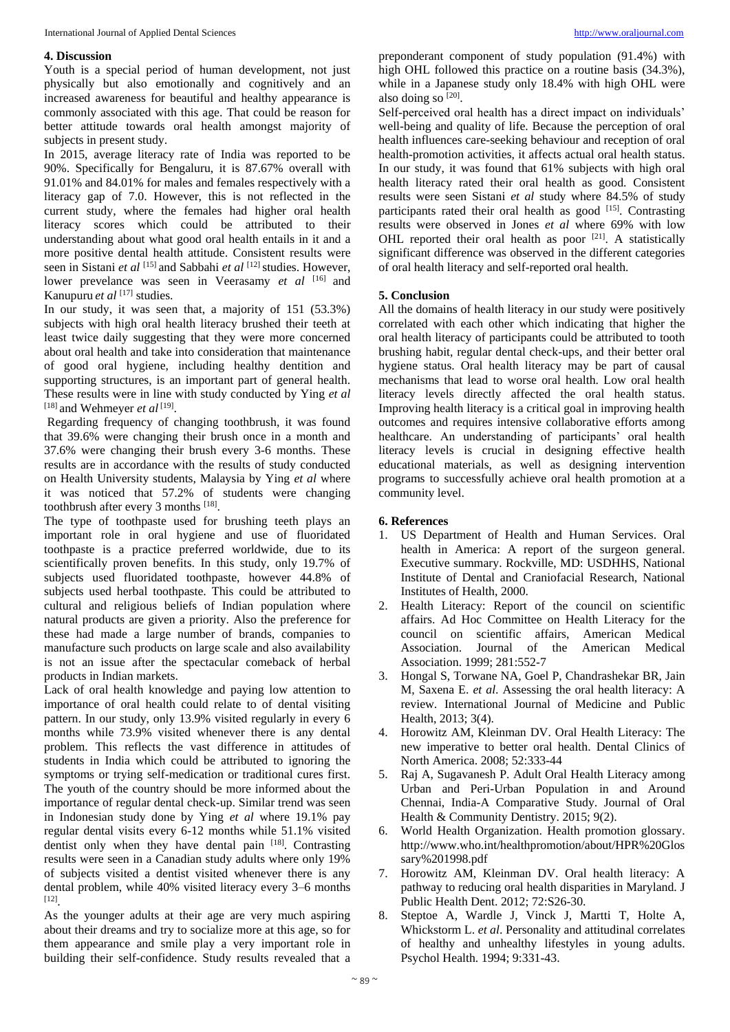#### **4. Discussion**

Youth is a special period of human development, not just physically but also emotionally and cognitively and an increased awareness for beautiful and healthy appearance is commonly associated with this age. That could be reason for better attitude towards oral health amongst majority of subjects in present study.

In 2015, average literacy rate of India was reported to be 90%. Specifically for Bengaluru, it is 87.67% overall with 91.01% and 84.01% for males and females respectively with a literacy gap of 7.0. However, this is not reflected in the current study, where the females had higher oral health literacy scores which could be attributed to their understanding about what good oral health entails in it and a more positive dental health attitude. Consistent results were seen in Sistani *et al* [15] and Sabbahi *et al* [12] studies. However, lower prevelance was seen in Veerasamy *et al* <sup>[16]</sup> and Kanupuru *et al* [17] studies.

In our study, it was seen that, a majority of 151 (53.3%) subjects with high oral health literacy brushed their teeth at least twice daily suggesting that they were more concerned about oral health and take into consideration that maintenance of good oral hygiene, including healthy dentition and supporting structures, is an important part of general health. These results were in line with study conducted by Ying *et al* [18] and Wehmeyer *et al* [19] .

Regarding frequency of changing toothbrush, it was found that 39.6% were changing their brush once in a month and 37.6% were changing their brush every 3-6 months. These results are in accordance with the results of study conducted on Health University students, Malaysia by Ying *et al* where it was noticed that 57.2% of students were changing toothbrush after every 3 months [18].

The type of toothpaste used for brushing teeth plays an important role in oral hygiene and use of fluoridated toothpaste is a practice preferred worldwide, due to its scientifically proven benefits. In this study, only 19.7% of subjects used fluoridated toothpaste, however 44.8% of subjects used herbal toothpaste. This could be attributed to cultural and religious beliefs of Indian population where natural products are given a priority. Also the preference for these had made a large number of brands, companies to manufacture such products on large scale and also availability is not an issue after the spectacular comeback of herbal products in Indian markets.

Lack of oral health knowledge and paying low attention to importance of oral health could relate to of dental visiting pattern. In our study, only 13.9% visited regularly in every 6 months while 73.9% visited whenever there is any dental problem. This reflects the vast difference in attitudes of students in India which could be attributed to ignoring the symptoms or trying self-medication or traditional cures first. The youth of the country should be more informed about the importance of regular dental check-up. Similar trend was seen in Indonesian study done by Ying *et al* where 19.1% pay regular dental visits every 6-12 months while 51.1% visited dentist only when they have dental pain [18]. Contrasting results were seen in a Canadian study adults where only 19% of subjects visited a dentist visited whenever there is any dental problem, while 40% visited literacy every 3–6 months [12] .

As the younger adults at their age are very much aspiring about their dreams and try to socialize more at this age, so for them appearance and smile play a very important role in building their self-confidence. Study results revealed that a

preponderant component of study population (91.4%) with high OHL followed this practice on a routine basis (34.3%), while in a Japanese study only 18.4% with high OHL were also doing so [20].

Self-perceived oral health has a direct impact on individuals' well-being and quality of life. Because the perception of oral health influences care-seeking behaviour and reception of oral health-promotion activities, it affects actual oral health status. In our study, it was found that 61% subjects with high oral health literacy rated their oral health as good. Consistent results were seen Sistani *et al* study where 84.5% of study participants rated their oral health as good  $[15]$ . Contrasting results were observed in Jones *et al* where 69% with low OHL reported their oral health as poor [21]. A statistically significant difference was observed in the different categories of oral health literacy and self-reported oral health.

#### **5. Conclusion**

All the domains of health literacy in our study were positively correlated with each other which indicating that higher the oral health literacy of participants could be attributed to tooth brushing habit, regular dental check-ups, and their better oral hygiene status. Oral health literacy may be part of causal mechanisms that lead to worse oral health. Low oral health literacy levels directly affected the oral health status. Improving health literacy is a critical goal in improving health outcomes and requires intensive collaborative efforts among healthcare. An understanding of participants' oral health literacy levels is crucial in designing effective health educational materials, as well as designing intervention programs to successfully achieve oral health promotion at a community level.

### **6. References**

- 1. US Department of Health and Human Services. Oral health in America: A report of the surgeon general. Executive summary. Rockville, MD: USDHHS, National Institute of Dental and Craniofacial Research, National Institutes of Health, 2000.
- 2. Health Literacy: Report of the council on scientific affairs. Ad Hoc Committee on Health Literacy for the council on scientific affairs, American Medical Association. Journal of the American Medical Association. 1999; 281:552-7
- 3. Hongal S, Torwane NA, Goel P, Chandrashekar BR, Jain M, Saxena E. *et al*. Assessing the oral health literacy: A review. International Journal of Medicine and Public Health, 2013; 3(4).
- 4. Horowitz AM, Kleinman DV. Oral Health Literacy: The new imperative to better oral health. Dental Clinics of North America. 2008; 52:333-44
- 5. Raj A, Sugavanesh P. Adult Oral Health Literacy among Urban and Peri-Urban Population in and Around Chennai, India-A Comparative Study. Journal of Oral Health & Community Dentistry. 2015; 9(2).
- 6. World Health Organization. Health promotion glossary. http://www.who.int/healthpromotion/about/HPR%20Glos sary%201998.pdf
- 7. Horowitz AM, Kleinman DV. Oral health literacy: A pathway to reducing oral health disparities in Maryland. J Public Health Dent. 2012; 72:S26-30.
- 8. Steptoe A, Wardle J, Vinck J, Martti T, Holte A, Whickstorm L. *et al*. Personality and attitudinal correlates of healthy and unhealthy lifestyles in young adults. Psychol Health. 1994; 9:331-43.